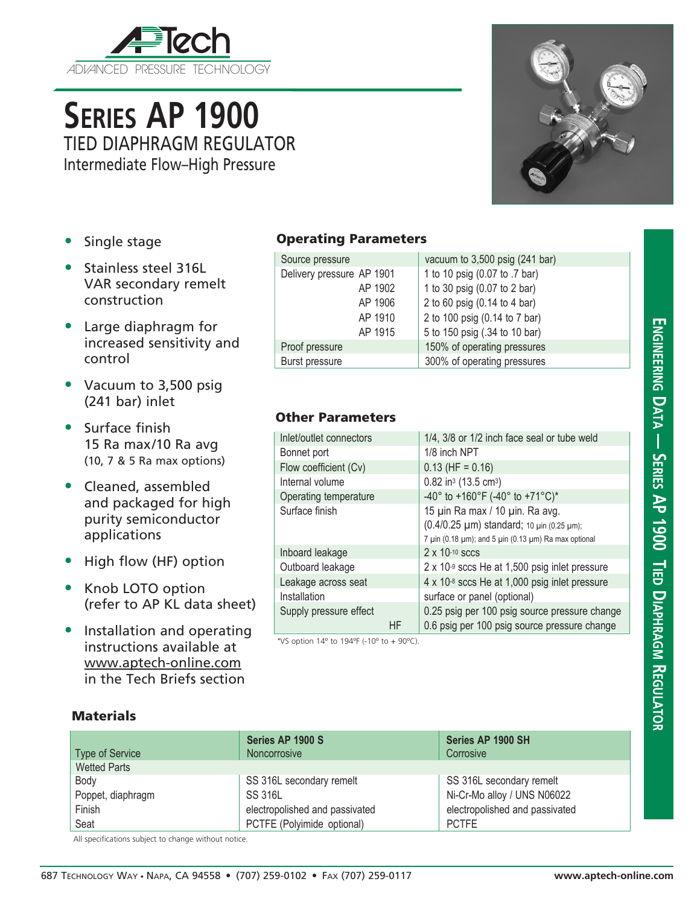

**Series AP 1900** TIED DIAPHRAGM REGULATOR Intermediate Flow–High Pressure

- Single stage
- Stainless steel 316L VAR secondary remelt construction
- Large diaphragm for increased sensitivity and control
- Vacuum to 3,500 psig (241 bar) inlet
- Surface finish 15 Ra max/10 Ra avg (10, 7 & 5 Ra max options)
- Cleaned, assembled and packaged for high purity semiconductor applications
- High flow (HF) option
- Knob LOTO option (refer to AP KL data sheet)
- Installation and operating instructions available at www.aptech-online.com in the Tech Briefs section

## Operating Parameters

| Source pressure           | vacuum to $3,500$ psig (241 bar) |
|---------------------------|----------------------------------|
| Delivery pressure AP 1901 | 1 to 10 psig (0.07 to .7 bar)    |
| AP 1902                   | 1 to 30 psig (0.07 to 2 bar)     |
| AP 1906                   | 2 to 60 psig (0.14 to 4 bar)     |
| AP 1910                   | 2 to 100 psig (0.14 to 7 bar)    |
| AP 1915                   | 5 to 150 psig (.34 to 10 bar)    |
| Proof pressure            | 150% of operating pressures      |
| Burst pressure            | 300% of operating pressures      |

## Other Parameters

| Inlet/outlet connectors |    | 1/4, 3/8 or 1/2 inch face seal or tube weld                              |  |
|-------------------------|----|--------------------------------------------------------------------------|--|
| Bonnet port             |    | 1/8 inch NPT                                                             |  |
| Flow coefficient (Cv)   |    | $0.13$ (HF = 0.16)                                                       |  |
| Internal volume         |    | $0.82$ in <sup>3</sup> (13.5 cm <sup>3</sup> )                           |  |
| Operating temperature   |    | -40° to +160°F (-40° to +71°C)*                                          |  |
| Surface finish          |    | 15 µin Ra max / 10 µin. Ra avg.                                          |  |
|                         |    | (0.4/0.25 µm) standard; 10 µin (0.25 µm);                                |  |
|                         |    | 7 $\mu$ in (0.18 $\mu$ m); and 5 $\mu$ in (0.13 $\mu$ m) Ra max optional |  |
| Inboard leakage         |    | $2 \times 10^{-10}$ sccs                                                 |  |
| Outboard leakage        |    | 2 x 10-9 sccs He at 1,500 psig inlet pressure                            |  |
| Leakage across seat     |    | $4 \times 10^{-8}$ sccs He at 1,000 psig inlet pressure                  |  |
| Installation            |    | surface or panel (optional)                                              |  |
| Supply pressure effect  |    | 0.25 psig per 100 psig source pressure change                            |  |
|                         | HF | 0.6 psig per 100 psig source pressure change                             |  |

\*VS option  $14^{\circ}$  to  $194^{\circ}$  (-10 $^{\circ}$  to +  $90^{\circ}$ C).

## **Materials**

|                        | Series AP 1900 S               | Series AP 1900 SH              |
|------------------------|--------------------------------|--------------------------------|
| <b>Type of Service</b> | Noncorrosive                   | Corrosive                      |
| <b>Wetted Parts</b>    |                                |                                |
| Body                   | SS 316L secondary remelt       | SS 316L secondary remelt       |
| Poppet, diaphragm      | SS 316L                        | Ni-Cr-Mo alloy / UNS N06022    |
| Finish                 | electropolished and passivated | electropolished and passivated |
| Seat                   | PCTFE (Polyimide optional)     | <b>PCTFE</b>                   |

All specifications subject to change without notice.